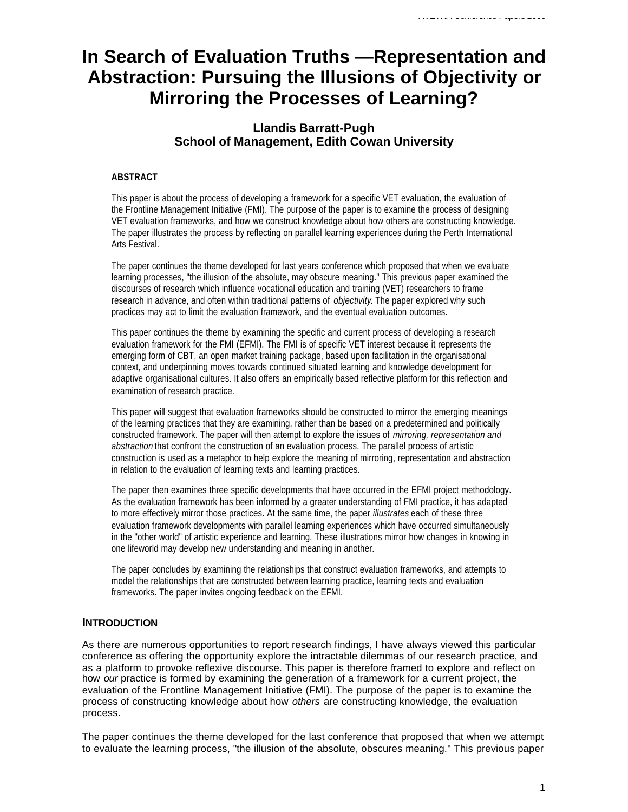# **In Search of Evaluation Truths —Representation and Abstraction: Pursuing the Illusions of Objectivity or Mirroring the Processes of Learning?**

## **Llandis Barratt-Pugh School of Management, Edith Cowan University**

### **ABSTRACT**

This paper is about the process of developing a framework for a specific VET evaluation, the evaluation of the Frontline Management Initiative (FMI). The purpose of the paper is to examine the process of designing VET evaluation frameworks, and how we construct knowledge about how others are constructing knowledge. The paper illustrates the process by reflecting on parallel learning experiences during the Perth International Arts Festival.

The paper continues the theme developed for last years conference which proposed that when we evaluate learning processes, "the illusion of the absolute, may obscure meaning." This previous paper examined the discourses of research which influence vocational education and training (VET) researchers to frame research in advance, and often within traditional patterns of *objectivity*. The paper explored why such practices may act to limit the evaluation framework, and the eventual evaluation outcomes.

This paper continues the theme by examining the specific and current process of developing a research evaluation framework for the FMI (EFMI). The FMI is of specific VET interest because it represents the emerging form of CBT, an open market training package, based upon facilitation in the organisational context, and underpinning moves towards continued situated learning and knowledge development for adaptive organisational cultures. It also offers an empirically based reflective platform for this reflection and examination of research practice.

This paper will suggest that evaluation frameworks should be constructed to mirror the emerging meanings of the learning practices that they are examining, rather than be based on a predetermined and politically constructed framework. The paper will then attempt to explore the issues of *mirroring, representation and abstraction* that confront the construction of an evaluation process. The parallel process of artistic construction is used as a metaphor to help explore the meaning of mirroring, representation and abstraction in relation to the evaluation of learning texts and learning practices.

The paper then examines three specific developments that have occurred in the EFMI project methodology. As the evaluation framework has been informed by a greater understanding of FMI practice, it has adapted to more effectively mirror those practices. At the same time, the paper *illustrates* each of these three evaluation framework developments with parallel learning experiences which have occurred simultaneously in the "other world" of artistic experience and learning. These illustrations mirror how changes in knowing in one lifeworld may develop new understanding and meaning in another.

The paper concludes by examining the relationships that construct evaluation frameworks, and attempts to model the relationships that are constructed between learning practice, learning texts and evaluation frameworks. The paper invites ongoing feedback on the EFMI.

## **INTRODUCTION**

As there are numerous opportunities to report research findings, I have always viewed this particular conference as offering the opportunity explore the intractable dilemmas of our research practice, and as a platform to provoke reflexive discourse. This paper is therefore framed to explore and reflect on how *our* practice is formed by examining the generation of a framework for a current project, the evaluation of the Frontline Management Initiative (FMI). The purpose of the paper is to examine the process of constructing knowledge about how *others* are constructing knowledge, the evaluation process.

The paper continues the theme developed for the last conference that proposed that when we attempt to evaluate the learning process, "the illusion of the absolute, obscures meaning." This previous paper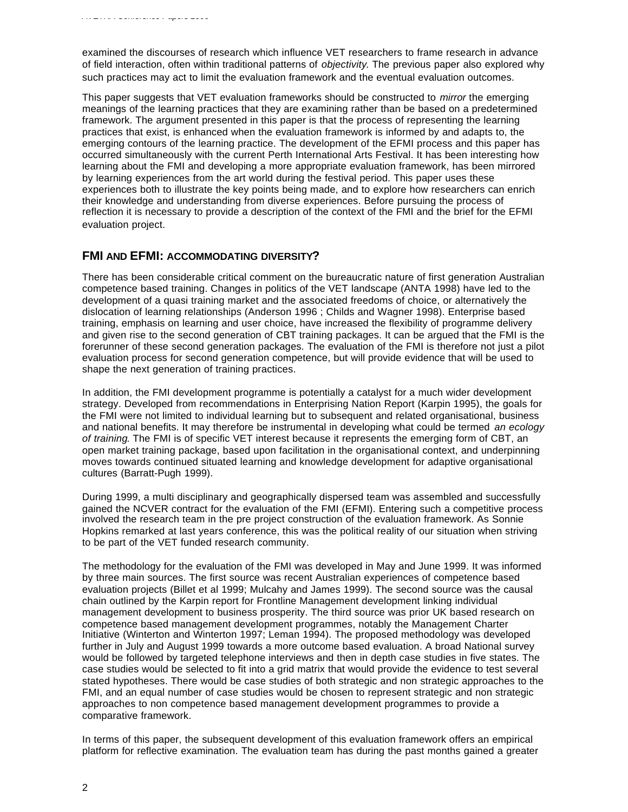examined the discourses of research which influence VET researchers to frame research in advance of field interaction, often within traditional patterns of *objectivity*. The previous paper also explored why such practices may act to limit the evaluation framework and the eventual evaluation outcomes.

This paper suggests that VET evaluation frameworks should be constructed to *mirror* the emerging meanings of the learning practices that they are examining rather than be based on a predetermined framework. The argument presented in this paper is that the process of representing the learning practices that exist, is enhanced when the evaluation framework is informed by and adapts to, the emerging contours of the learning practice. The development of the EFMI process and this paper has occurred simultaneously with the current Perth International Arts Festival. It has been interesting how learning about the FMI and developing a more appropriate evaluation framework, has been mirrored by learning experiences from the art world during the festival period. This paper uses these experiences both to illustrate the key points being made, and to explore how researchers can enrich their knowledge and understanding from diverse experiences. Before pursuing the process of reflection it is necessary to provide a description of the context of the FMI and the brief for the EFMI evaluation project.

## **FMI AND EFMI: ACCOMMODATING DIVERSITY?**

There has been considerable critical comment on the bureaucratic nature of first generation Australian competence based training. Changes in politics of the VET landscape (ANTA 1998) have led to the development of a quasi training market and the associated freedoms of choice, or alternatively the dislocation of learning relationships (Anderson 1996 ; Childs and Wagner 1998). Enterprise based training, emphasis on learning and user choice, have increased the flexibility of programme delivery and given rise to the second generation of CBT training packages. It can be argued that the FMI is the forerunner of these second generation packages. The evaluation of the FMI is therefore not just a pilot evaluation process for second generation competence, but will provide evidence that will be used to shape the next generation of training practices.

In addition, the FMI development programme is potentially a catalyst for a much wider development strategy. Developed from recommendations in Enterprising Nation Report (Karpin 1995), the goals for the FMI were not limited to individual learning but to subsequent and related organisational, business and national benefits. It may therefore be instrumental in developing what could be termed *an ecology of training*. The FMI is of specific VET interest because it represents the emerging form of CBT, an open market training package, based upon facilitation in the organisational context, and underpinning moves towards continued situated learning and knowledge development for adaptive organisational cultures (Barratt-Pugh 1999).

During 1999, a multi disciplinary and geographically dispersed team was assembled and successfully gained the NCVER contract for the evaluation of the FMI (EFMI). Entering such a competitive process involved the research team in the pre project construction of the evaluation framework. As Sonnie Hopkins remarked at last years conference, this was the political reality of our situation when striving to be part of the VET funded research community.

The methodology for the evaluation of the FMI was developed in May and June 1999. It was informed by three main sources. The first source was recent Australian experiences of competence based evaluation projects (Billet et al 1999; Mulcahy and James 1999). The second source was the causal chain outlined by the Karpin report for Frontline Management development linking individual management development to business prosperity. The third source was prior UK based research on competence based management development programmes, notably the Management Charter Initiative (Winterton and Winterton 1997; Leman 1994). The proposed methodology was developed further in July and August 1999 towards a more outcome based evaluation. A broad National survey would be followed by targeted telephone interviews and then in depth case studies in five states. The case studies would be selected to fit into a grid matrix that would provide the evidence to test several stated hypotheses. There would be case studies of both strategic and non strategic approaches to the FMI, and an equal number of case studies would be chosen to represent strategic and non strategic approaches to non competence based management development programmes to provide a comparative framework.

In terms of this paper, the subsequent development of this evaluation framework offers an empirical platform for reflective examination. The evaluation team has during the past months gained a greater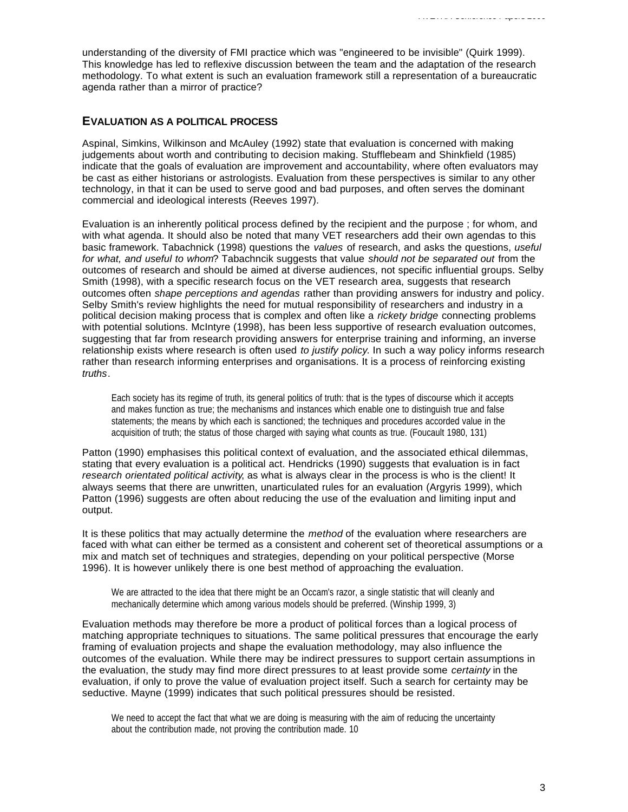understanding of the diversity of FMI practice which was "engineered to be invisible" (Quirk 1999). This knowledge has led to reflexive discussion between the team and the adaptation of the research methodology. To what extent is such an evaluation framework still a representation of a bureaucratic agenda rather than a mirror of practice?

## **EVALUATION AS A POLITICAL PROCESS**

Aspinal, Simkins, Wilkinson and McAuley (1992) state that evaluation is concerned with making judgements about worth and contributing to decision making. Stufflebeam and Shinkfield (1985) indicate that the goals of evaluation are improvement and accountability, where often evaluators may be cast as either historians or astrologists. Evaluation from these perspectives is similar to any other technology, in that it can be used to serve good and bad purposes, and often serves the dominant commercial and ideological interests (Reeves 1997).

Evaluation is an inherently political process defined by the recipient and the purpose ; for whom, and with what agenda. It should also be noted that many VET researchers add their own agendas to this basic framework. Tabachnick (1998) questions the *values* of research, and asks the questions, *useful for what, and useful to whom*? Tabachncik suggests that value *should not be separated out* from the outcomes of research and should be aimed at diverse audiences, not specific influential groups. Selby Smith (1998), with a specific research focus on the VET research area, suggests that research outcomes often *shape perceptions and agendas* rather than providing answers for industry and policy. Selby Smith's review highlights the need for mutual responsibility of researchers and industry in a political decision making process that is complex and often like a *rickety bridge* connecting problems with potential solutions. McIntyre (1998), has been less supportive of research evaluation outcomes, suggesting that far from research providing answers for enterprise training and informing, an inverse relationship exists where research is often used *to justify policy*. In such a way policy informs research rather than research informing enterprises and organisations. It is a process of reinforcing existing *truths*.

Each society has its regime of truth, its general politics of truth: that is the types of discourse which it accepts and makes function as true; the mechanisms and instances which enable one to distinguish true and false statements; the means by which each is sanctioned; the techniques and procedures accorded value in the acquisition of truth; the status of those charged with saying what counts as true. (Foucault 1980, 131)

Patton (1990) emphasises this political context of evaluation, and the associated ethical dilemmas, stating that every evaluation is a political act. Hendricks (1990) suggests that evaluation is in fact *research orientated political activity*, as what is always clear in the process is who is the client! It always seems that there are unwritten, unarticulated rules for an evaluation (Argyris 1999), which Patton (1996) suggests are often about reducing the use of the evaluation and limiting input and output.

It is these politics that may actually determine the *method* of the evaluation where researchers are faced with what can either be termed as a consistent and coherent set of theoretical assumptions or a mix and match set of techniques and strategies, depending on your political perspective (Morse 1996). It is however unlikely there is one best method of approaching the evaluation.

We are attracted to the idea that there might be an Occam's razor, a single statistic that will cleanly and mechanically determine which among various models should be preferred. (Winship 1999, 3)

Evaluation methods may therefore be more a product of political forces than a logical process of matching appropriate techniques to situations. The same political pressures that encourage the early framing of evaluation projects and shape the evaluation methodology, may also influence the outcomes of the evaluation. While there may be indirect pressures to support certain assumptions in the evaluation, the study may find more direct pressures to at least provide some *certainty* in the evaluation, if only to prove the value of evaluation project itself. Such a search for certainty may be seductive. Mayne (1999) indicates that such political pressures should be resisted.

We need to accept the fact that what we are doing is measuring with the aim of reducing the uncertainty about the contribution made, not proving the contribution made. 10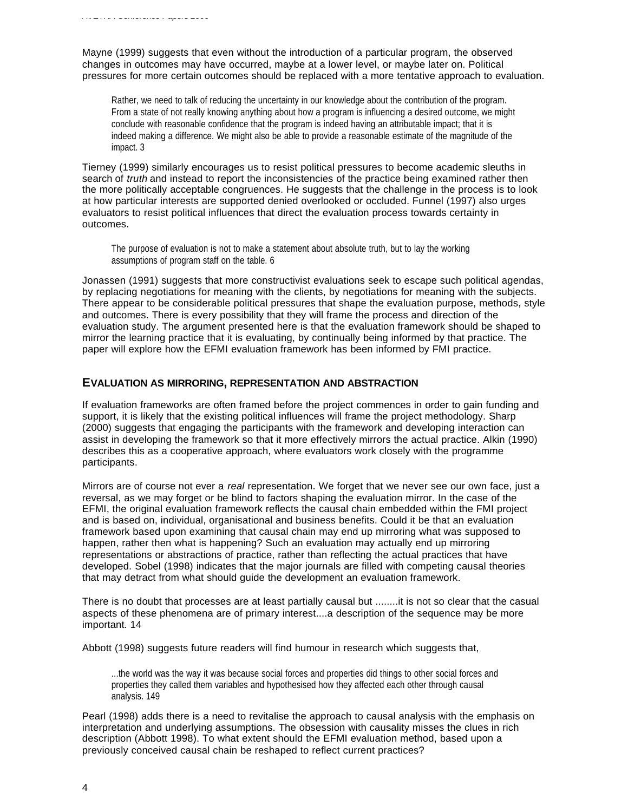Mayne (1999) suggests that even without the introduction of a particular program, the observed changes in outcomes may have occurred, maybe at a lower level, or maybe later on. Political pressures for more certain outcomes should be replaced with a more tentative approach to evaluation.

*AVETRA Conference Papers 2000*

Rather, we need to talk of reducing the uncertainty in our knowledge about the contribution of the program. From a state of not really knowing anything about how a program is influencing a desired outcome, we might conclude with reasonable confidence that the program is indeed having an attributable impact; that it is indeed making a difference. We might also be able to provide a reasonable estimate of the magnitude of the impact. 3

Tierney (1999) similarly encourages us to resist political pressures to become academic sleuths in search of *truth* and instead to report the inconsistencies of the practice being examined rather then the more politically acceptable congruences. He suggests that the challenge in the process is to look at how particular interests are supported denied overlooked or occluded. Funnel (1997) also urges evaluators to resist political influences that direct the evaluation process towards certainty in outcomes.

The purpose of evaluation is not to make a statement about absolute truth, but to lay the working assumptions of program staff on the table. 6

Jonassen (1991) suggests that more constructivist evaluations seek to escape such political agendas, by replacing negotiations for meaning with the clients, by negotiations for meaning with the subjects. There appear to be considerable political pressures that shape the evaluation purpose, methods, style and outcomes. There is every possibility that they will frame the process and direction of the evaluation study. The argument presented here is that the evaluation framework should be shaped to mirror the learning practice that it is evaluating, by continually being informed by that practice. The paper will explore how the EFMI evaluation framework has been informed by FMI practice.

## **EVALUATION AS MIRRORING, REPRESENTATION AND ABSTRACTION**

If evaluation frameworks are often framed before the project commences in order to gain funding and support, it is likely that the existing political influences will frame the project methodology. Sharp (2000) suggests that engaging the participants with the framework and developing interaction can assist in developing the framework so that it more effectively mirrors the actual practice. Alkin (1990) describes this as a cooperative approach, where evaluators work closely with the programme participants.

Mirrors are of course not ever a *real* representation. We forget that we never see our own face, just a reversal, as we may forget or be blind to factors shaping the evaluation mirror. In the case of the EFMI, the original evaluation framework reflects the causal chain embedded within the FMI project and is based on, individual, organisational and business benefits. Could it be that an evaluation framework based upon examining that causal chain may end up mirroring what was supposed to happen, rather then what is happening? Such an evaluation may actually end up mirroring representations or abstractions of practice, rather than reflecting the actual practices that have developed. Sobel (1998) indicates that the major journals are filled with competing causal theories that may detract from what should guide the development an evaluation framework.

There is no doubt that processes are at least partially causal but ........it is not so clear that the casual aspects of these phenomena are of primary interest....a description of the sequence may be more important. 14

Abbott (1998) suggests future readers will find humour in research which suggests that,

...the world was the way it was because social forces and properties did things to other social forces and properties they called them variables and hypothesised how they affected each other through causal analysis. 149

Pearl (1998) adds there is a need to revitalise the approach to causal analysis with the emphasis on interpretation and underlying assumptions. The obsession with causality misses the clues in rich description (Abbott 1998). To what extent should the EFMI evaluation method, based upon a previously conceived causal chain be reshaped to reflect current practices?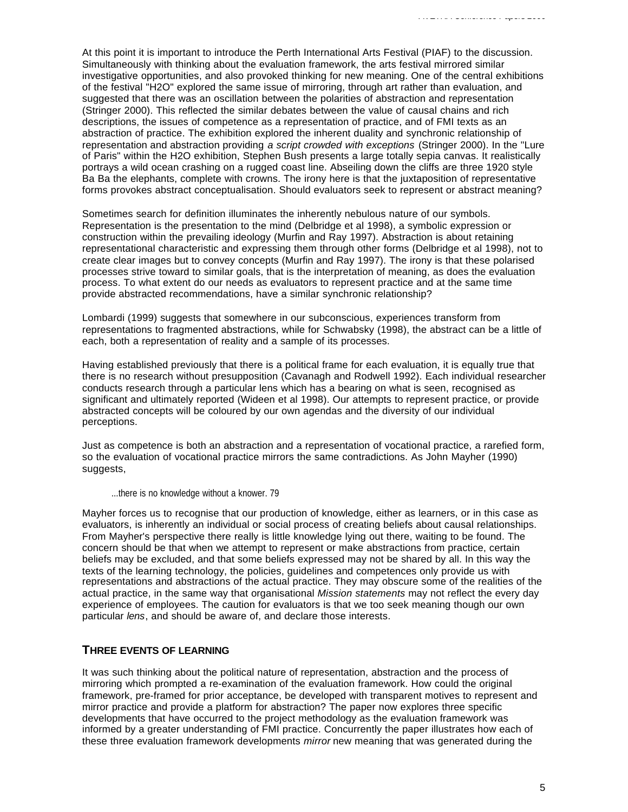At this point it is important to introduce the Perth International Arts Festival (PIAF) to the discussion. Simultaneously with thinking about the evaluation framework, the arts festival mirrored similar investigative opportunities, and also provoked thinking for new meaning. One of the central exhibitions of the festival "H2O" explored the same issue of mirroring, through art rather than evaluation, and suggested that there was an oscillation between the polarities of abstraction and representation (Stringer 2000). This reflected the similar debates between the value of causal chains and rich descriptions, the issues of competence as a representation of practice, and of FMI texts as an abstraction of practice. The exhibition explored the inherent duality and synchronic relationship of representation and abstraction providing *a script crowded with exceptions* (Stringer 2000). In the "Lure of Paris" within the H2O exhibition, Stephen Bush presents a large totally sepia canvas. It realistically portrays a wild ocean crashing on a rugged coast line. Abseiling down the cliffs are three 1920 style Ba Ba the elephants, complete with crowns. The irony here is that the juxtaposition of representative forms provokes abstract conceptualisation. Should evaluators seek to represent or abstract meaning?

Sometimes search for definition illuminates the inherently nebulous nature of our symbols. Representation is the presentation to the mind (Delbridge et al 1998), a symbolic expression or construction within the prevailing ideology (Murfin and Ray 1997). Abstraction is about retaining representational characteristic and expressing them through other forms (Delbridge et al 1998), not to create clear images but to convey concepts (Murfin and Ray 1997). The irony is that these polarised processes strive toward to similar goals, that is the interpretation of meaning, as does the evaluation process. To what extent do our needs as evaluators to represent practice and at the same time provide abstracted recommendations, have a similar synchronic relationship?

Lombardi (1999) suggests that somewhere in our subconscious, experiences transform from representations to fragmented abstractions, while for Schwabsky (1998), the abstract can be a little of each, both a representation of reality and a sample of its processes.

Having established previously that there is a political frame for each evaluation, it is equally true that there is no research without presupposition (Cavanagh and Rodwell 1992). Each individual researcher conducts research through a particular lens which has a bearing on what is seen, recognised as significant and ultimately reported (Wideen et al 1998). Our attempts to represent practice, or provide abstracted concepts will be coloured by our own agendas and the diversity of our individual perceptions.

Just as competence is both an abstraction and a representation of vocational practice, a rarefied form, so the evaluation of vocational practice mirrors the same contradictions. As John Mayher (1990) suggests,

...there is no knowledge without a knower. 79

Mayher forces us to recognise that our production of knowledge, either as learners, or in this case as evaluators, is inherently an individual or social process of creating beliefs about causal relationships. From Mayher's perspective there really is little knowledge lying out there, waiting to be found. The concern should be that when we attempt to represent or make abstractions from practice, certain beliefs may be excluded, and that some beliefs expressed may not be shared by all. In this way the texts of the learning technology, the policies, guidelines and competences only provide us with representations and abstractions of the actual practice. They may obscure some of the realities of the actual practice, in the same way that organisational *Mission statements* may not reflect the every day experience of employees. The caution for evaluators is that we too seek meaning though our own particular *lens*, and should be aware of, and declare those interests.

#### **THREE EVENTS OF LEARNING**

It was such thinking about the political nature of representation, abstraction and the process of mirroring which prompted a re-examination of the evaluation framework. How could the original framework, pre-framed for prior acceptance, be developed with transparent motives to represent and mirror practice and provide a platform for abstraction? The paper now explores three specific developments that have occurred to the project methodology as the evaluation framework was informed by a greater understanding of FMI practice. Concurrently the paper illustrates how each of these three evaluation framework developments *mirror* new meaning that was generated during the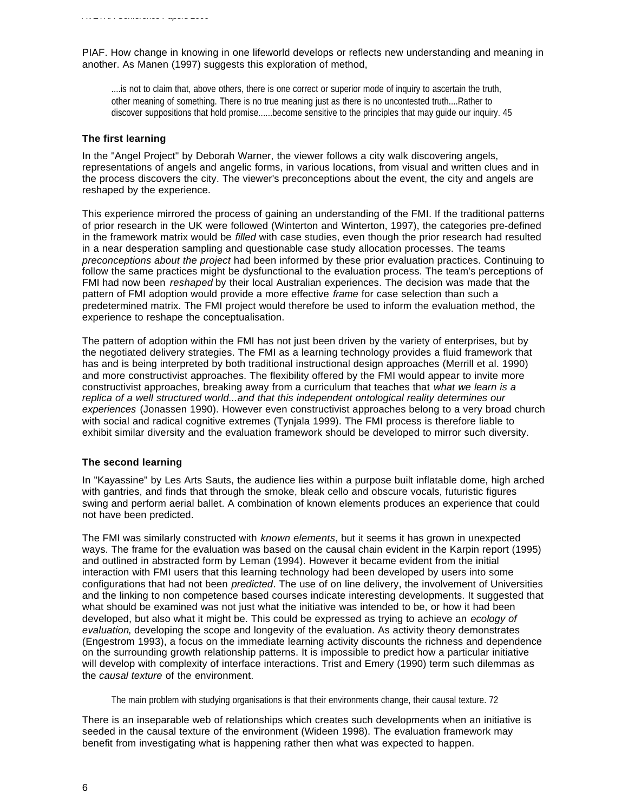*AVETRA Conference Papers 2000*

PIAF. How change in knowing in one lifeworld develops or reflects new understanding and meaning in another. As Manen (1997) suggests this exploration of method,

....is not to claim that, above others, there is one correct or superior mode of inquiry to ascertain the truth, other meaning of something. There is no true meaning just as there is no uncontested truth....Rather to discover suppositions that hold promise......become sensitive to the principles that may guide our inquiry. 45

#### **The first learning**

In the "Angel Project" by Deborah Warner, the viewer follows a city walk discovering angels, representations of angels and angelic forms, in various locations, from visual and written clues and in the process discovers the city. The viewer's preconceptions about the event, the city and angels are reshaped by the experience.

This experience mirrored the process of gaining an understanding of the FMI. If the traditional patterns of prior research in the UK were followed (Winterton and Winterton, 1997), the categories pre-defined in the framework matrix would be *filled* with case studies, even though the prior research had resulted in a near desperation sampling and questionable case study allocation processes. The teams *preconceptions about the project* had been informed by these prior evaluation practices. Continuing to follow the same practices might be dysfunctional to the evaluation process. The team's perceptions of FMI had now been *reshaped* by their local Australian experiences. The decision was made that the pattern of FMI adoption would provide a more effective *frame* for case selection than such a predetermined matrix. The FMI project would therefore be used to inform the evaluation method, the experience to reshape the conceptualisation.

The pattern of adoption within the FMI has not just been driven by the variety of enterprises, but by the negotiated delivery strategies. The FMI as a learning technology provides a fluid framework that has and is being interpreted by both traditional instructional design approaches (Merrill et al. 1990) and more constructivist approaches. The flexibility offered by the FMI would appear to invite more constructivist approaches, breaking away from a curriculum that teaches that *what we learn is a replica of a well structured world...and that this independent ontological reality determines our experiences* (Jonassen 1990). However even constructivist approaches belong to a very broad church with social and radical cognitive extremes (Tynjala 1999). The FMI process is therefore liable to exhibit similar diversity and the evaluation framework should be developed to mirror such diversity.

#### **The second learning**

In "Kayassine" by Les Arts Sauts, the audience lies within a purpose built inflatable dome, high arched with gantries, and finds that through the smoke, bleak cello and obscure vocals, futuristic figures swing and perform aerial ballet. A combination of known elements produces an experience that could not have been predicted.

The FMI was similarly constructed with *known elements*, but it seems it has grown in unexpected ways. The frame for the evaluation was based on the causal chain evident in the Karpin report (1995) and outlined in abstracted form by Leman (1994). However it became evident from the initial interaction with FMI users that this learning technology had been developed by users into some configurations that had not been *predicted*. The use of on line delivery, the involvement of Universities and the linking to non competence based courses indicate interesting developments. It suggested that what should be examined was not just what the initiative was intended to be, or how it had been developed, but also what it might be. This could be expressed as trying to achieve an *ecology of evaluation*, developing the scope and longevity of the evaluation. As activity theory demonstrates (Engestrom 1993), a focus on the immediate learning activity discounts the richness and dependence on the surrounding growth relationship patterns. It is impossible to predict how a particular initiative will develop with complexity of interface interactions. Trist and Emery (1990) term such dilemmas as the *causal texture* of the environment.

The main problem with studying organisations is that their environments change, their causal texture. 72

There is an inseparable web of relationships which creates such developments when an initiative is seeded in the causal texture of the environment (Wideen 1998). The evaluation framework may benefit from investigating what is happening rather then what was expected to happen.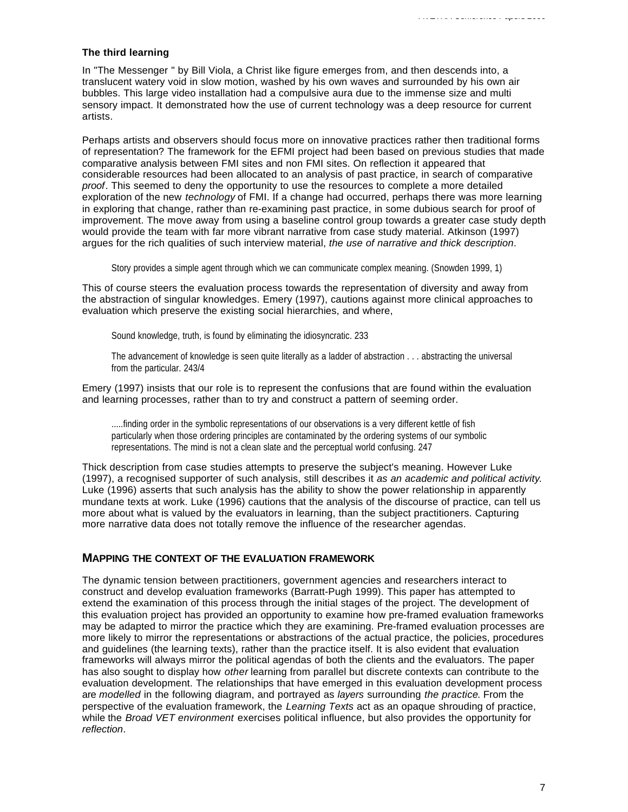#### **The third learning**

In "The Messenger " by Bill Viola, a Christ like figure emerges from, and then descends into, a translucent watery void in slow motion, washed by his own waves and surrounded by his own air bubbles. This large video installation had a compulsive aura due to the immense size and multi sensory impact. It demonstrated how the use of current technology was a deep resource for current artists.

Perhaps artists and observers should focus more on innovative practices rather then traditional forms of representation? The framework for the EFMI project had been based on previous studies that made comparative analysis between FMI sites and non FMI sites. On reflection it appeared that considerable resources had been allocated to an analysis of past practice, in search of comparative *proof*. This seemed to deny the opportunity to use the resources to complete a more detailed exploration of the new *technology* of FMI. If a change had occurred, perhaps there was more learning in exploring that change, rather than re-examining past practice, in some dubious search for proof of improvement. The move away from using a baseline control group towards a greater case study depth would provide the team with far more vibrant narrative from case study material. Atkinson (1997) argues for the rich qualities of such interview material, *the use of narrative and thick description*.

Story provides a simple agent through which we can communicate complex meaning. (Snowden 1999, 1)

This of course steers the evaluation process towards the representation of diversity and away from the abstraction of singular knowledges. Emery (1997), cautions against more clinical approaches to evaluation which preserve the existing social hierarchies, and where,

Sound knowledge, truth, is found by eliminating the idiosyncratic. 233

The advancement of knowledge is seen quite literally as a ladder of abstraction . . . abstracting the universal from the particular. 243/4

Emery (1997) insists that our role is to represent the confusions that are found within the evaluation and learning processes, rather than to try and construct a pattern of seeming order.

.....finding order in the symbolic representations of our observations is a very different kettle of fish particularly when those ordering principles are contaminated by the ordering systems of our symbolic representations. The mind is not a clean slate and the perceptual world confusing. 247

Thick description from case studies attempts to preserve the subject's meaning. However Luke (1997), a recognised supporter of such analysis, still describes it *as an academic and political activity*. Luke (1996) asserts that such analysis has the ability to show the power relationship in apparently mundane texts at work. Luke (1996) cautions that the analysis of the discourse of practice, can tell us more about what is valued by the evaluators in learning, than the subject practitioners. Capturing more narrative data does not totally remove the influence of the researcher agendas.

#### **MAPPING THE CONTEXT OF THE EVALUATION FRAMEWORK**

The dynamic tension between practitioners, government agencies and researchers interact to construct and develop evaluation frameworks (Barratt-Pugh 1999). This paper has attempted to extend the examination of this process through the initial stages of the project. The development of this evaluation project has provided an opportunity to examine how pre-framed evaluation frameworks may be adapted to mirror the practice which they are examining. Pre-framed evaluation processes are more likely to mirror the representations or abstractions of the actual practice, the policies, procedures and guidelines (the learning texts), rather than the practice itself. It is also evident that evaluation frameworks will always mirror the political agendas of both the clients and the evaluators. The paper has also sought to display how *other* learning from parallel but discrete contexts can contribute to the evaluation development. The relationships that have emerged in this evaluation development process are *modelled* in the following diagram, and portrayed as *layers* surrounding *the practice*. From the perspective of the evaluation framework, the *Learning Texts* act as an opaque shrouding of practice, while the *Broad VET environment* exercises political influence, but also provides the opportunity for *reflection*.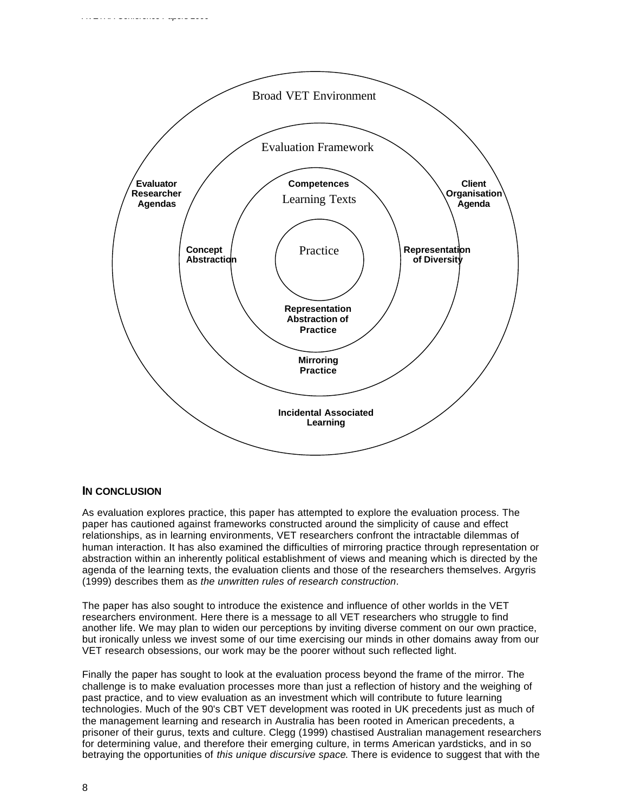

## **IN CONCLUSION**

*AVETRA Conference Papers 2000*

As evaluation explores practice, this paper has attempted to explore the evaluation process. The paper has cautioned against frameworks constructed around the simplicity of cause and effect relationships, as in learning environments, VET researchers confront the intractable dilemmas of human interaction. It has also examined the difficulties of mirroring practice through representation or abstraction within an inherently political establishment of views and meaning which is directed by the agenda of the learning texts, the evaluation clients and those of the researchers themselves. Argyris (1999) describes them as *the unwritten rules of research construction*.

The paper has also sought to introduce the existence and influence of other worlds in the VET researchers environment. Here there is a message to all VET researchers who struggle to find another life. We may plan to widen our perceptions by inviting diverse comment on our own practice, but ironically unless we invest some of our time exercising our minds in other domains away from our VET research obsessions, our work may be the poorer without such reflected light.

Finally the paper has sought to look at the evaluation process beyond the frame of the mirror. The challenge is to make evaluation processes more than just a reflection of history and the weighing of past practice, and to view evaluation as an investment which will contribute to future learning technologies. Much of the 90's CBT VET development was rooted in UK precedents just as much of the management learning and research in Australia has been rooted in American precedents, a prisoner of their gurus, texts and culture. Clegg (1999) chastised Australian management researchers for determining value, and therefore their emerging culture, in terms American yardsticks, and in so betraying the opportunities of *this unique discursive space*. There is evidence to suggest that with the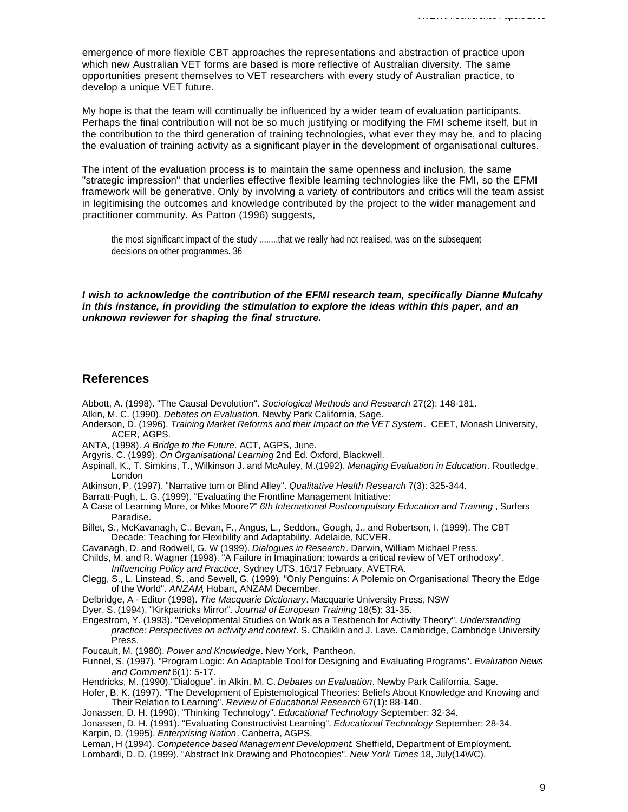emergence of more flexible CBT approaches the representations and abstraction of practice upon which new Australian VET forms are based is more reflective of Australian diversity. The same opportunities present themselves to VET researchers with every study of Australian practice, to develop a unique VET future.

My hope is that the team will continually be influenced by a wider team of evaluation participants. Perhaps the final contribution will not be so much justifying or modifying the FMI scheme itself, but in the contribution to the third generation of training technologies, what ever they may be, and to placing the evaluation of training activity as a significant player in the development of organisational cultures.

The intent of the evaluation process is to maintain the same openness and inclusion, the same "strategic impression" that underlies effective flexible learning technologies like the FMI, so the EFMI framework will be generative. Only by involving a variety of contributors and critics will the team assist in legitimising the outcomes and knowledge contributed by the project to the wider management and practitioner community. As Patton (1996) suggests,

the most significant impact of the study ........that we really had not realised, was on the subsequent decisions on other programmes. 36

*I wish to acknowledge the contribution of the EFMI research team, specifically Dianne Mulcahy in this instance, in providing the stimulation to explore the ideas within this paper, and an unknown reviewer for shaping the final structure.*

#### **References**

- Abbott, A. (1998). "The Causal Devolution". *Sociological Methods and Research* 27(2): 148-181.
- Alkin, M. C. (1990). *Debates on Evaluation*. Newby Park California, Sage.
- Anderson, D. (1996). *Training Market Reforms and their Impact on the VET System*. CEET, Monash University, ACER, AGPS.
- ANTA, (1998). *A Bridge to the Future*. ACT, AGPS, June.
- Argyris, C. (1999). *On Organisational Learning* 2nd Ed. Oxford, Blackwell.
- Aspinall, K., T. Simkins, T., Wilkinson J. and McAuley, M.(1992). *Managing Evaluation in Education*. Routledge, London
- Atkinson, P. (1997). "Narrative turn or Blind Alley". *Qualitative Health Research* 7(3): 325-344.
- Barratt-Pugh, L. G. (1999). "Evaluating the Frontline Management Initiative:
- A Case of Learning More, or Mike Moore?" *6th International Postcompulsory Education and Training* , Surfers Paradise.

Billet, S., McKavanagh, C., Bevan, F., Angus, L., Seddon., Gough, J., and Robertson, I. (1999). The CBT Decade: Teaching for Flexibility and Adaptability. Adelaide, NCVER.

- Cavanagh, D. and Rodwell, G. W (1999). *Dialogues in Research*. Darwin, William Michael Press.
- Childs, M. and R. Wagner (1998). "A Failure in Imagination: towards a critical review of VET orthodoxy". *Influencing Policy and Practice*, Sydney UTS, 16/17 February, AVETRA.
- Clegg, S., L. Linstead, S. ,and Sewell, G. (1999). "Only Penguins: A Polemic on Organisational Theory the Edge of the World". *ANZAM*, Hobart, ANZAM December.
- Delbridge, A Editor (1998). *The Macquarie Dictionary*. Macquarie University Press, NSW
- Dyer, S. (1994). "Kirkpatricks Mirror". *Journal of European Training* 18(5): 31-35.
- Engestrom, Y. (1993). "Developmental Studies on Work as a Testbench for Activity Theory". *Understanding practice: Perspectives on activity and context*. S. Chaiklin and J. Lave. Cambridge, Cambridge University Press.
- Foucault, M. (1980). *Power and Knowledge*. New York, Pantheon.
- Funnel, S. (1997). "Program Logic: An Adaptable Tool for Designing and Evaluating Programs". *Evaluation News and Comment* 6(1): 5-17.

Hendricks, M. (1990)."Dialogue". in Alkin, M. C. *Debates on Evaluation*. Newby Park California, Sage.

Hofer, B. K. (1997). "The Development of Epistemological Theories: Beliefs About Knowledge and Knowing and Their Relation to Learning". *Review of Educational Research* 67(1): 88-140.

Jonassen, D. H. (1990). "Thinking Technology". *Educational Technology* September: 32-34.

Jonassen, D. H. (1991). "Evaluating Constructivist Learning". *Educational Technology* September: 28-34.

Karpin, D. (1995). *Enterprising Nation*. Canberra, AGPS.

Leman, H (1994). *Competence based Management Development*. Sheffield, Department of Employment.

Lombardi, D. D. (1999). "Abstract Ink Drawing and Photocopies". *New York Times* 18, July(14WC).